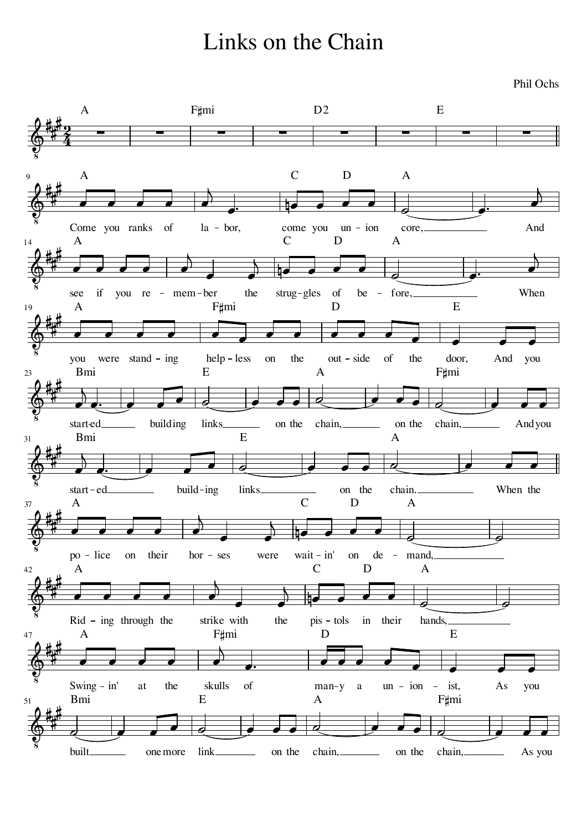#### Links on the Chain

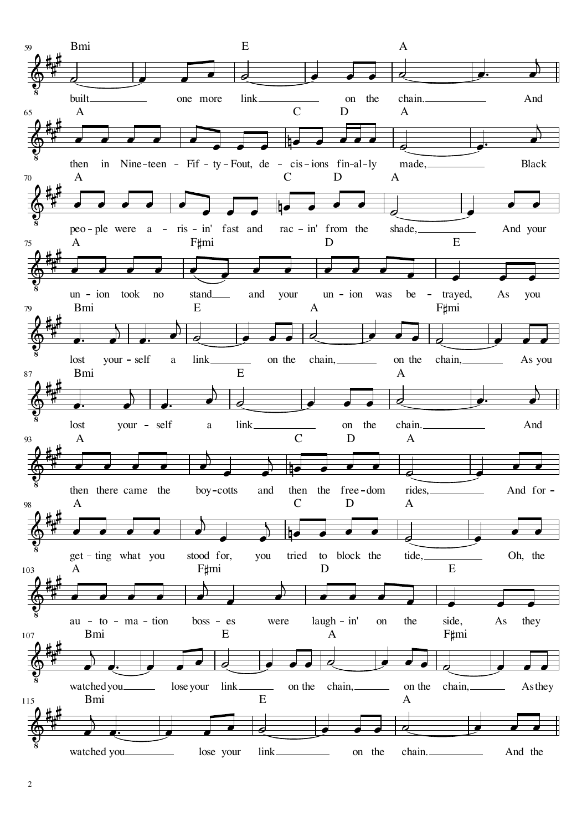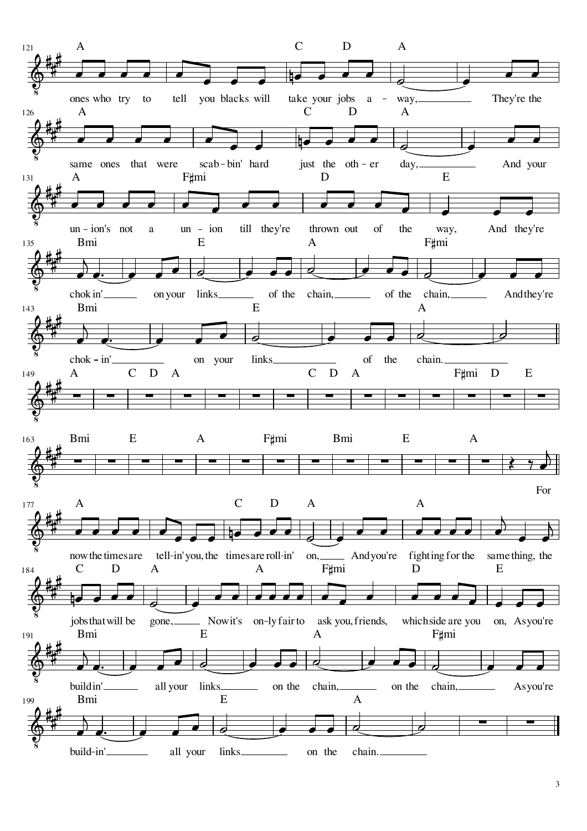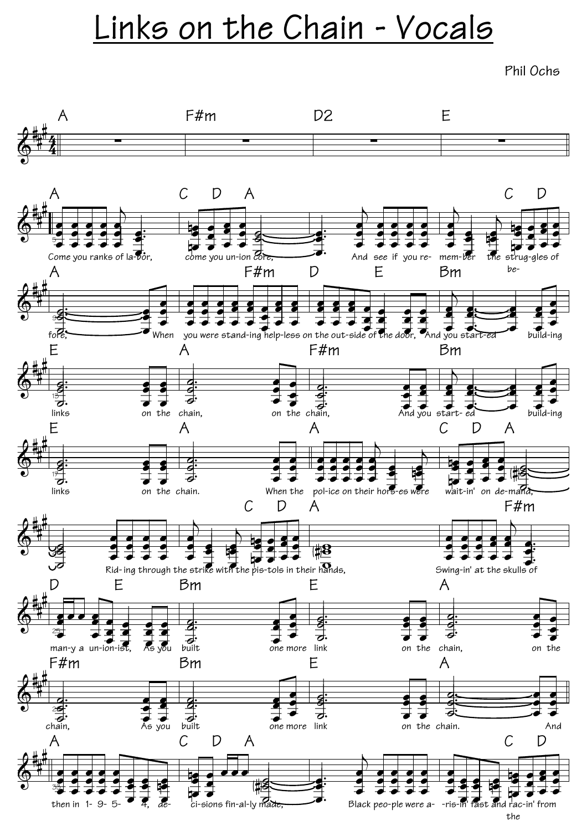# Links on the Chain - Vocals

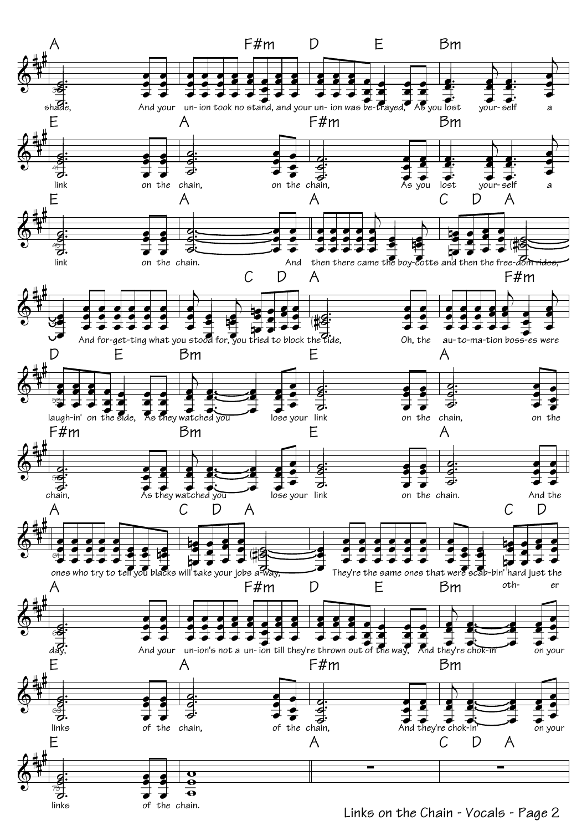

Links on the Chain - Vocals - Page 2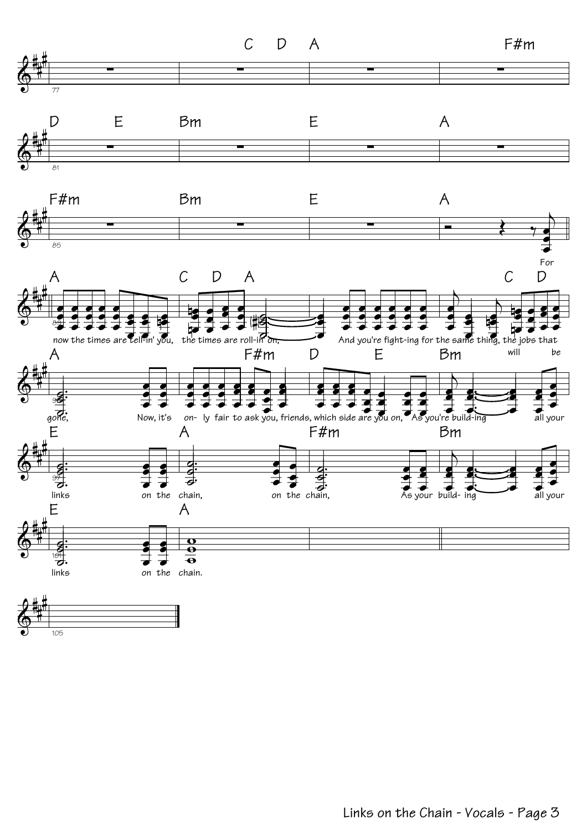![](_page_5_Figure_0.jpeg)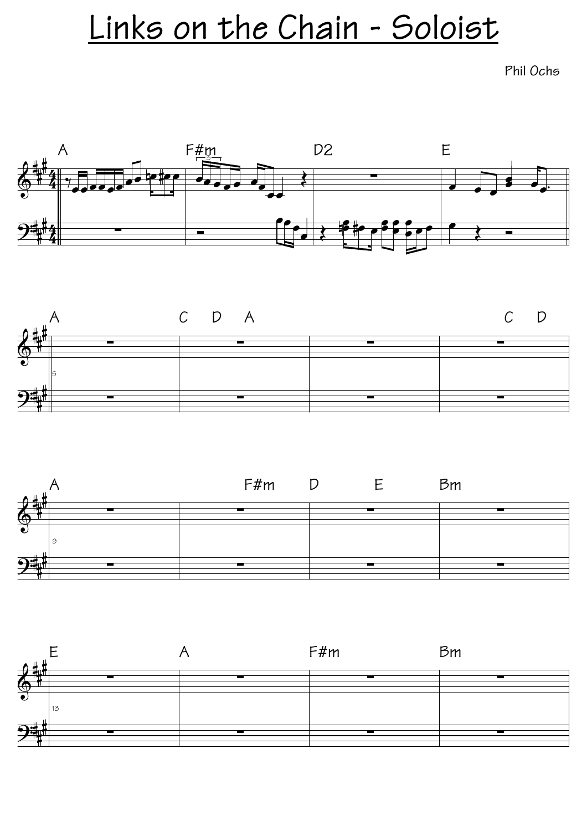# Links on the Chain - Soloist

![](_page_6_Figure_2.jpeg)

![](_page_6_Figure_3.jpeg)

![](_page_6_Figure_4.jpeg)

![](_page_6_Figure_5.jpeg)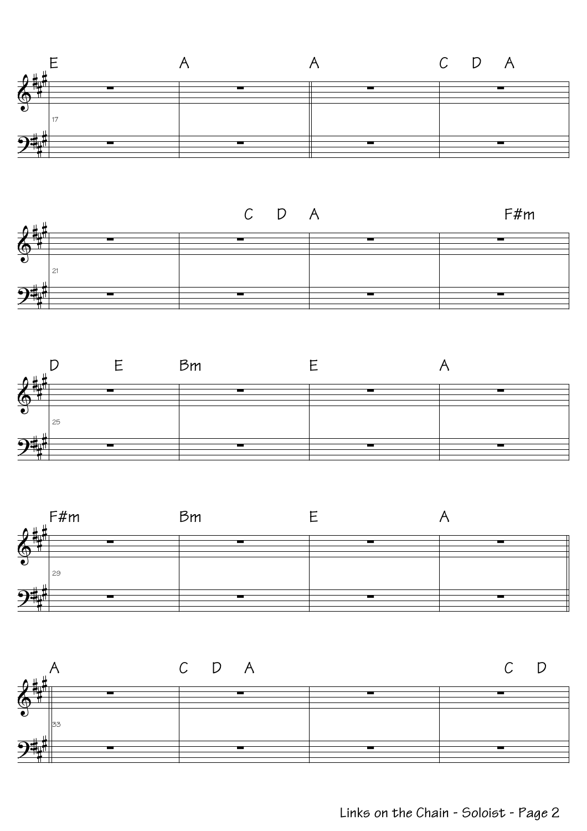![](_page_7_Figure_0.jpeg)

![](_page_7_Figure_1.jpeg)

![](_page_7_Figure_2.jpeg)

![](_page_7_Figure_3.jpeg)

![](_page_7_Figure_4.jpeg)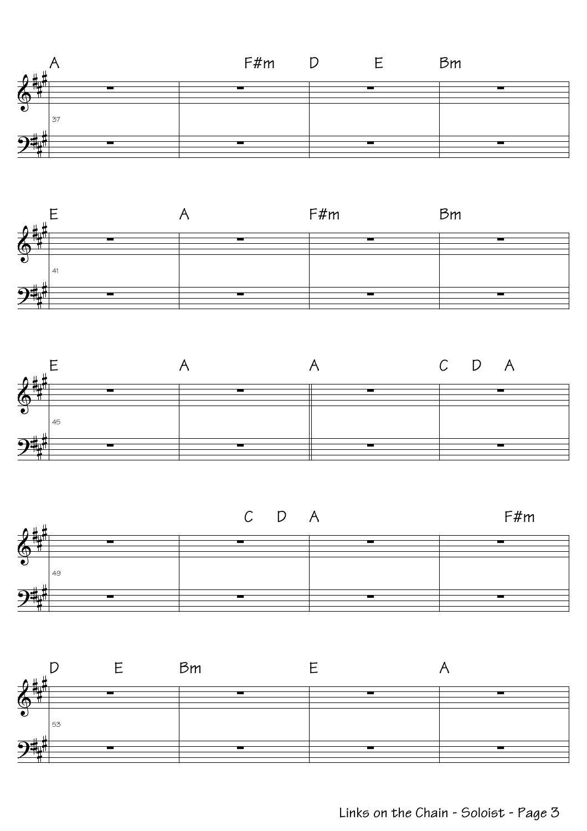![](_page_8_Figure_0.jpeg)

![](_page_8_Figure_1.jpeg)

![](_page_8_Figure_2.jpeg)

 $\bigcirc$ # # #  $\frac{1}{\sqrt{2}}$ # # # 49 ¸ ¸ ¸ ¸ ¸ ¸ ¸ **∣** C D A F#m

![](_page_8_Figure_4.jpeg)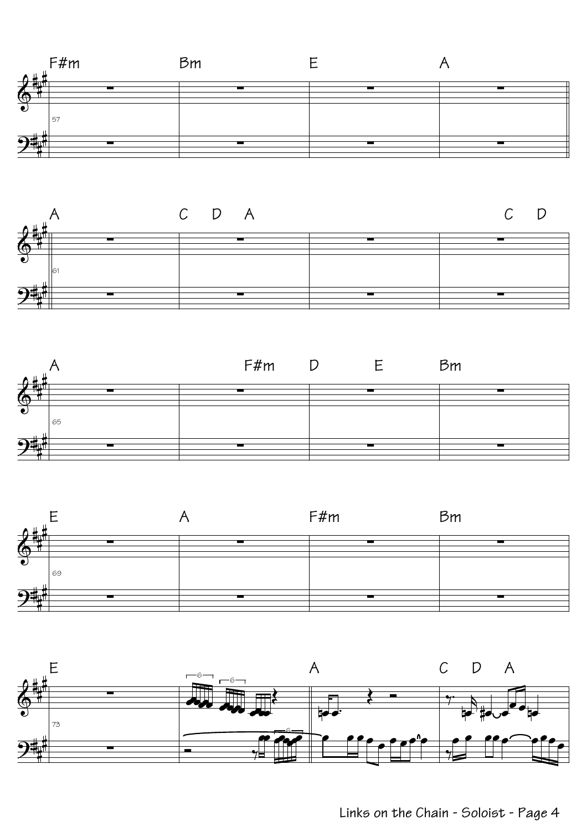![](_page_9_Figure_0.jpeg)

![](_page_9_Figure_1.jpeg)

![](_page_9_Figure_2.jpeg)

![](_page_9_Figure_3.jpeg)

![](_page_9_Figure_4.jpeg)

Links on the Chain - Soloist - Page 4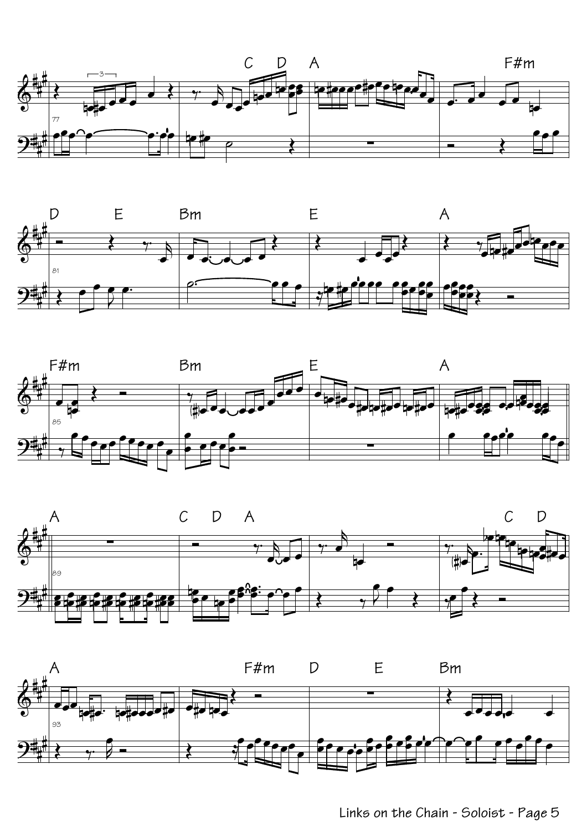![](_page_10_Figure_0.jpeg)

![](_page_10_Figure_1.jpeg)

![](_page_10_Figure_2.jpeg)

![](_page_10_Figure_3.jpeg)

![](_page_10_Figure_4.jpeg)

Links on the Chain - Soloist - Page 5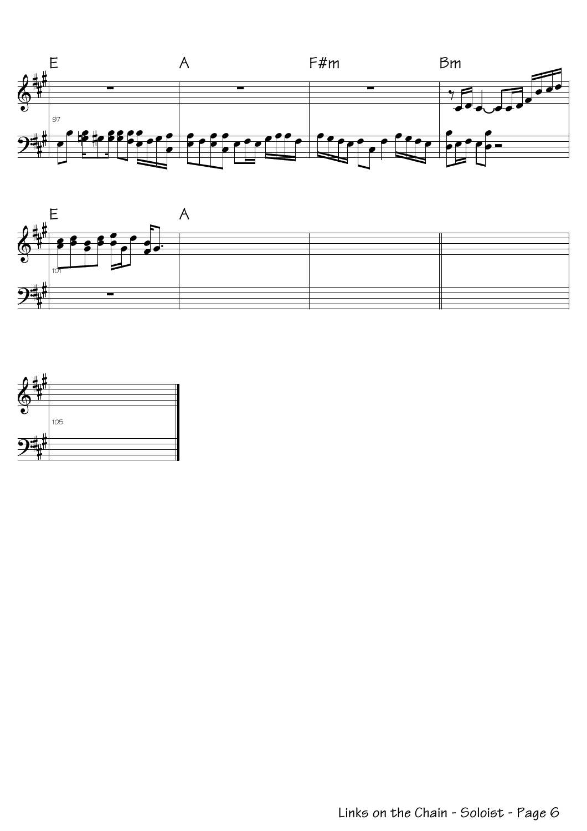![](_page_11_Figure_0.jpeg)

![](_page_11_Figure_1.jpeg)

![](_page_11_Figure_2.jpeg)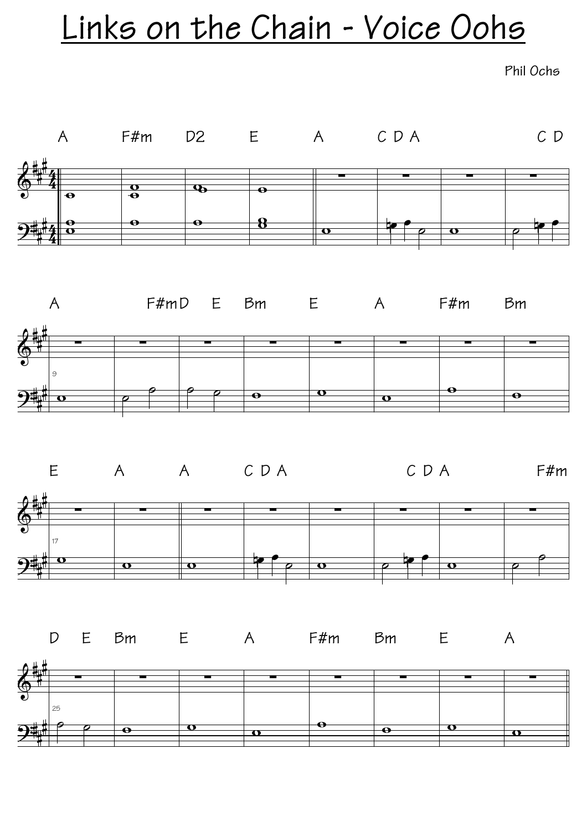# Links on the Chain - Voice Oohs

![](_page_12_Figure_2.jpeg)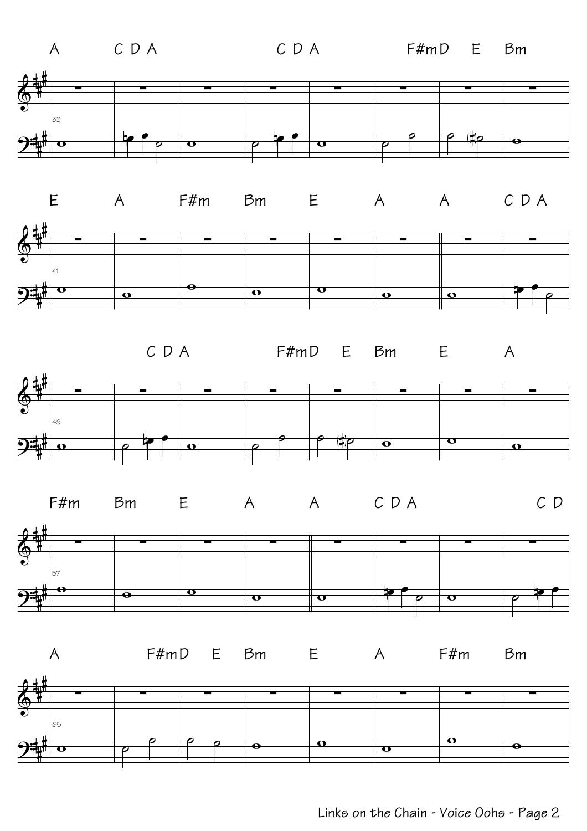![](_page_13_Figure_0.jpeg)

![](_page_13_Figure_1.jpeg)

![](_page_13_Figure_2.jpeg)

![](_page_13_Figure_3.jpeg)

![](_page_13_Figure_4.jpeg)

Links on the Chain - Voice Oohs - Page 2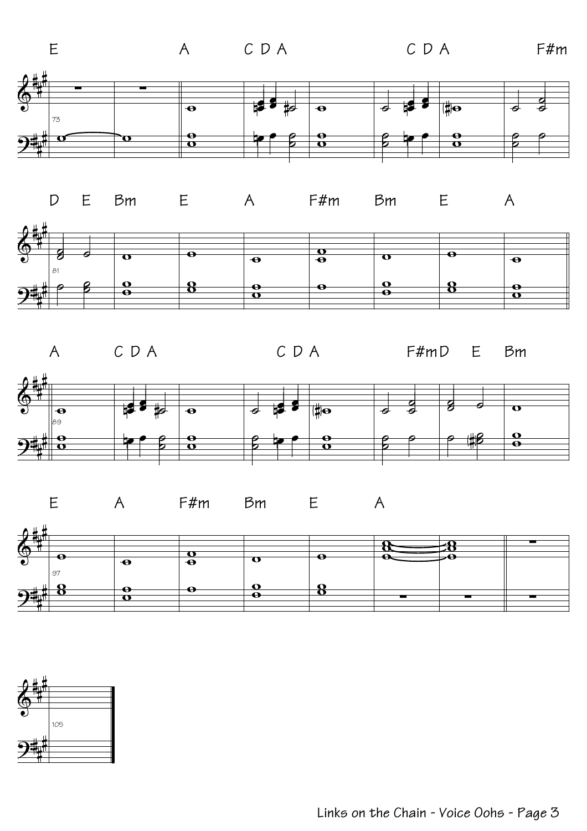![](_page_14_Figure_0.jpeg)

![](_page_14_Figure_1.jpeg)

![](_page_14_Figure_2.jpeg)

![](_page_14_Figure_3.jpeg)

![](_page_14_Figure_4.jpeg)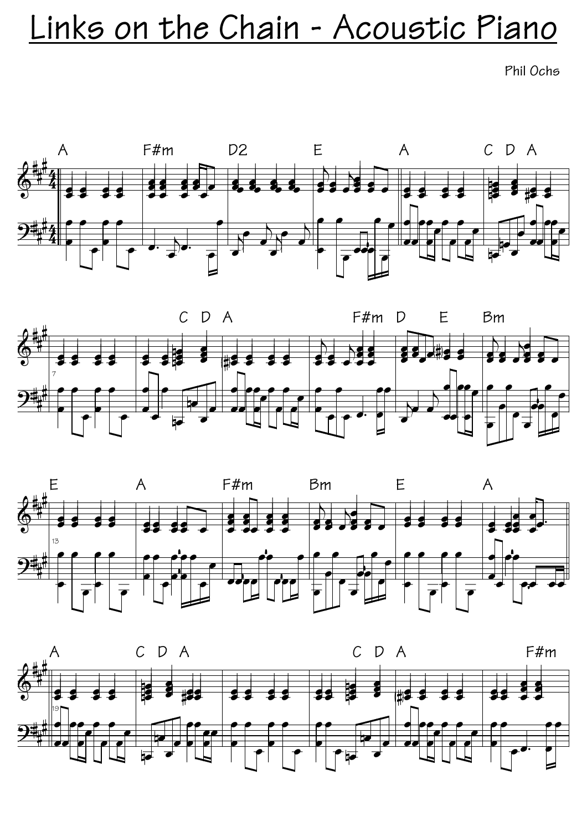### Links on the Chain - Acoustic Piano

![](_page_15_Figure_2.jpeg)

![](_page_15_Figure_3.jpeg)

![](_page_15_Figure_4.jpeg)

![](_page_15_Figure_5.jpeg)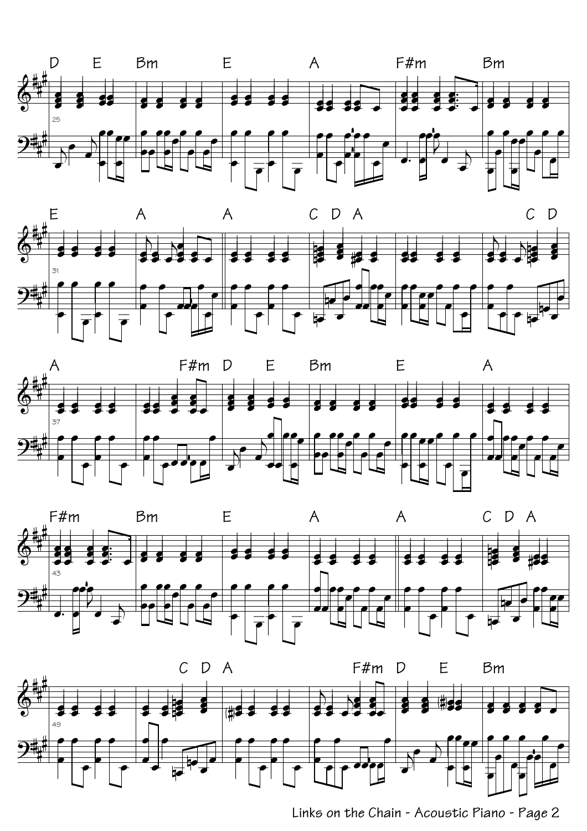![](_page_16_Figure_0.jpeg)

![](_page_16_Figure_1.jpeg)

![](_page_16_Figure_2.jpeg)

![](_page_16_Figure_3.jpeg)

![](_page_16_Figure_4.jpeg)

Links on the Chain - Acoustic Piano - Page 2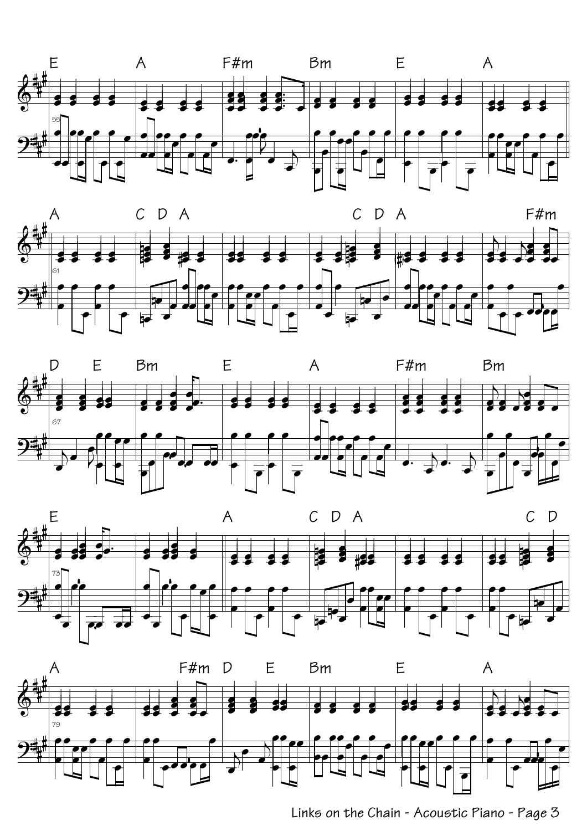![](_page_17_Figure_0.jpeg)

![](_page_17_Figure_1.jpeg)

![](_page_17_Figure_2.jpeg)

![](_page_17_Figure_3.jpeg)

![](_page_17_Figure_4.jpeg)

Links on the Chain - Acoustic Piano - Page 3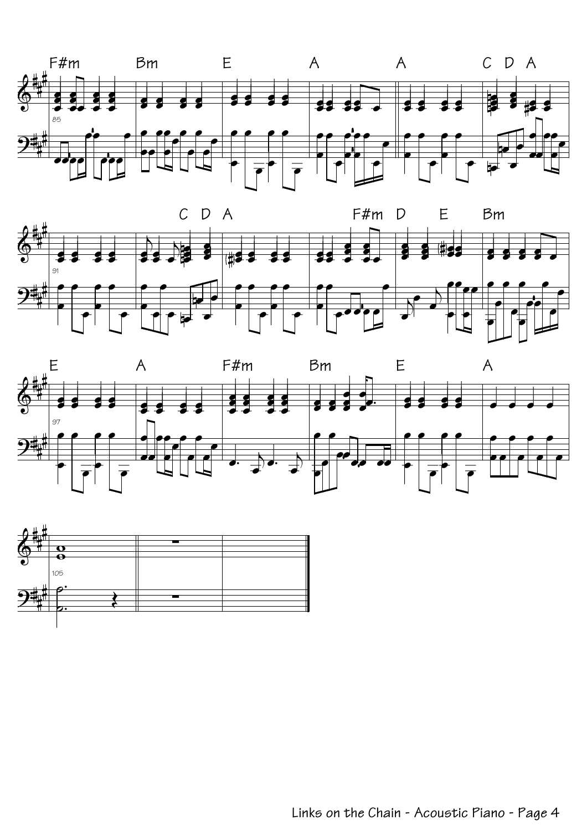![](_page_18_Figure_0.jpeg)

![](_page_18_Figure_1.jpeg)

![](_page_18_Figure_2.jpeg)

![](_page_18_Figure_3.jpeg)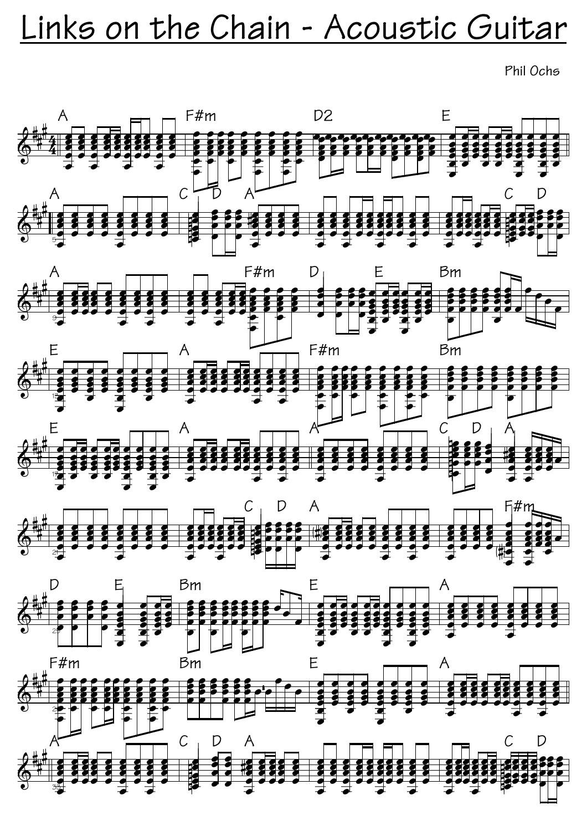# Links on the Chain - Acoustic Guitar

![](_page_19_Figure_2.jpeg)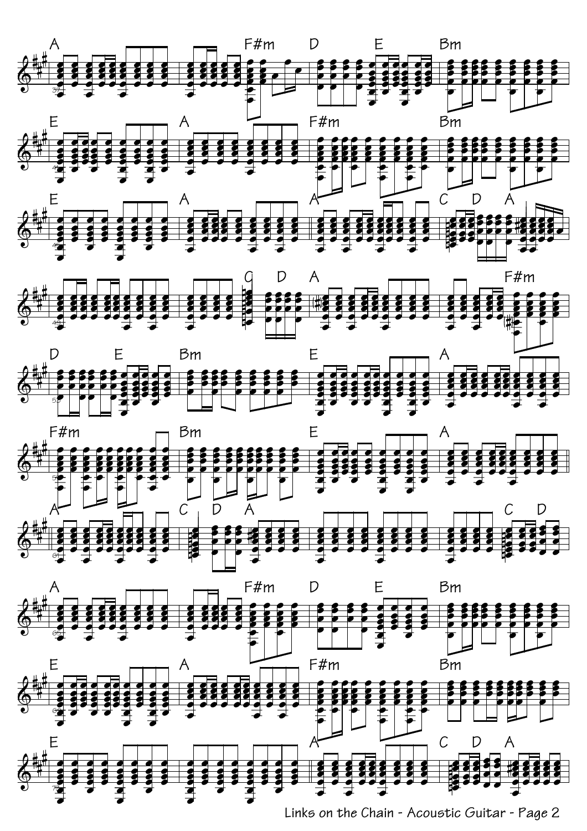![](_page_20_Figure_0.jpeg)

![](_page_20_Figure_1.jpeg)

![](_page_20_Figure_2.jpeg)

![](_page_20_Figure_3.jpeg)

![](_page_20_Figure_4.jpeg)

![](_page_20_Figure_5.jpeg)

![](_page_20_Figure_6.jpeg)

Links on the Chain - Acoustic Guitar - Page 2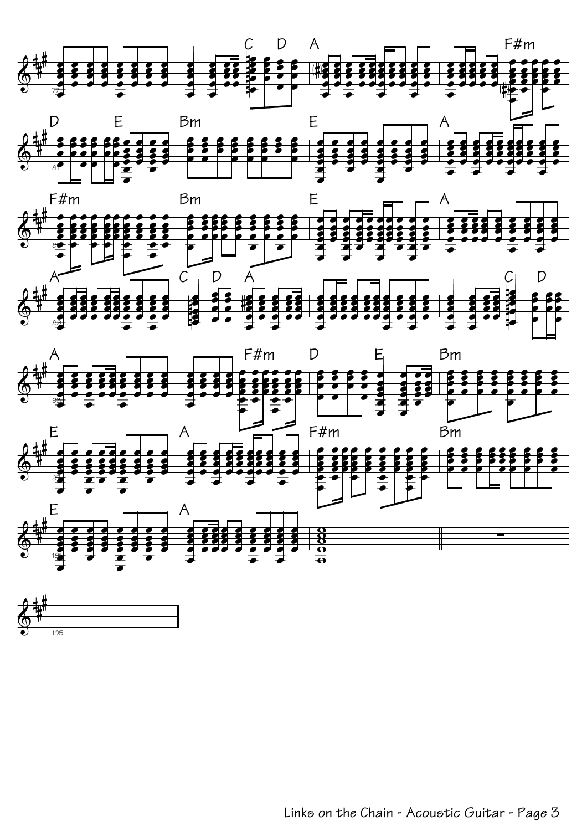![](_page_21_Figure_0.jpeg)

![](_page_21_Figure_1.jpeg)

![](_page_21_Figure_2.jpeg)

![](_page_21_Figure_3.jpeg)

![](_page_21_Figure_4.jpeg)

Links on the Chain - Acoustic Guitar - Page 3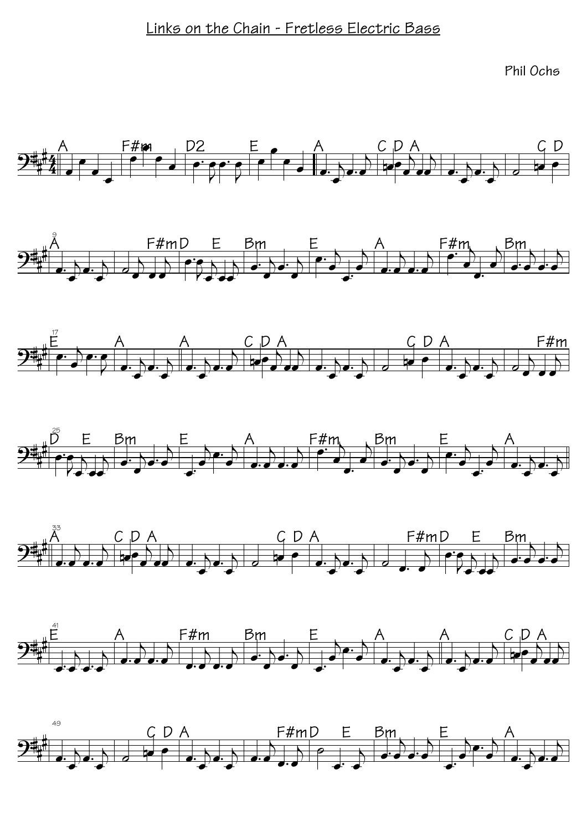![](_page_22_Figure_2.jpeg)

![](_page_22_Figure_3.jpeg)

![](_page_22_Figure_4.jpeg)

![](_page_22_Figure_5.jpeg)

![](_page_22_Figure_6.jpeg)

![](_page_22_Figure_7.jpeg)

![](_page_22_Figure_8.jpeg)